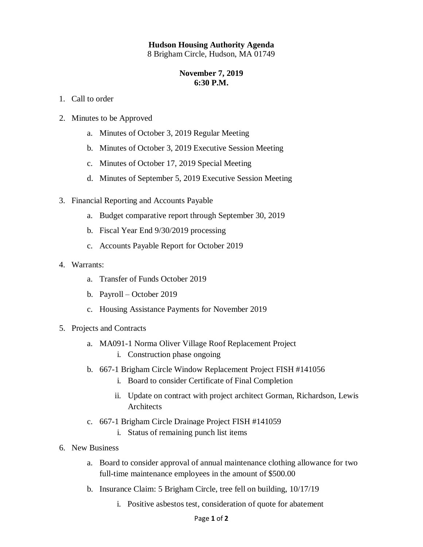## **Hudson Housing Authority Agenda**

8 Brigham Circle, Hudson, MA 01749

## **November 7, 2019 6:30 P.M.**

- 1. Call to order
- 2. Minutes to be Approved
	- a. Minutes of October 3, 2019 Regular Meeting
	- b. Minutes of October 3, 2019 Executive Session Meeting
	- c. Minutes of October 17, 2019 Special Meeting
	- d. Minutes of September 5, 2019 Executive Session Meeting
- 3. Financial Reporting and Accounts Payable
	- a. Budget comparative report through September 30, 2019
	- b. Fiscal Year End 9/30/2019 processing
	- c. Accounts Payable Report for October 2019
- 4. Warrants:
	- a. Transfer of Funds October 2019
	- b. Payroll October 2019
	- c. Housing Assistance Payments for November 2019
- 5. Projects and Contracts
	- a. MA091-1 Norma Oliver Village Roof Replacement Project
		- i. Construction phase ongoing
	- b. 667-1 Brigham Circle Window Replacement Project FISH #141056
		- i. Board to consider Certificate of Final Completion
		- ii. Update on contract with project architect Gorman, Richardson, Lewis Architects
	- c. 667-1 Brigham Circle Drainage Project FISH #141059
		- i. Status of remaining punch list items
- 6. New Business
	- a. Board to consider approval of annual maintenance clothing allowance for two full-time maintenance employees in the amount of \$500.00
	- b. Insurance Claim: 5 Brigham Circle, tree fell on building, 10/17/19
		- i. Positive asbestos test, consideration of quote for abatement